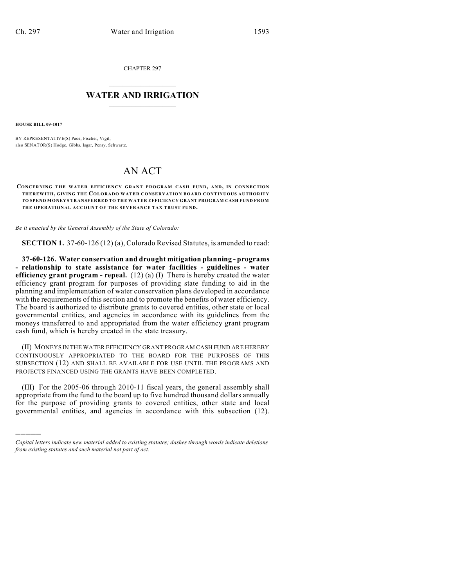CHAPTER 297

## $\mathcal{L}_\text{max}$  . The set of the set of the set of the set of the set of the set of the set of the set of the set of the set of the set of the set of the set of the set of the set of the set of the set of the set of the set **WATER AND IRRIGATION**  $\_$   $\_$

**HOUSE BILL 09-1017**

)))))

BY REPRESENTATIVE(S) Pace, Fischer, Vigil; also SENATOR(S) Hodge, Gibbs, Isgar, Penry, Schwartz.

## AN ACT

## **CONCERNING THE WATER EFFICIENCY GRANT PROGRAM CASH FUND, AND, IN CONNECTION THEREWITH, GIVING THE COLORADO WATER CONSERVATION BOARD CONTINUOUS AUTHORITY TO SPEND MONEYS TRANSFERRED TO THE WATER EFFICIENCY GRANT PROGRAM CASH FUND FROM THE OPERATIONAL ACCOUNT OF THE SEVERANCE TAX TRUST FUND.**

*Be it enacted by the General Assembly of the State of Colorado:*

**SECTION 1.** 37-60-126 (12) (a), Colorado Revised Statutes, is amended to read:

**37-60-126. Water conservation and drought mitigation planning - programs - relationship to state assistance for water facilities - guidelines - water efficiency grant program - repeal.** (12) (a) (I) There is hereby created the water efficiency grant program for purposes of providing state funding to aid in the planning and implementation of water conservation plans developed in accordance with the requirements of this section and to promote the benefits of water efficiency. The board is authorized to distribute grants to covered entities, other state or local governmental entities, and agencies in accordance with its guidelines from the moneys transferred to and appropriated from the water efficiency grant program cash fund, which is hereby created in the state treasury.

(II) MONEYS IN THE WATER EFFICIENCY GRANT PROGRAM CASH FUND ARE HEREBY CONTINUOUSLY APPROPRIATED TO THE BOARD FOR THE PURPOSES OF THIS SUBSECTION (12) AND SHALL BE AVAILABLE FOR USE UNTIL THE PROGRAMS AND PROJECTS FINANCED USING THE GRANTS HAVE BEEN COMPLETED.

(III) For the 2005-06 through 2010-11 fiscal years, the general assembly shall appropriate from the fund to the board up to five hundred thousand dollars annually for the purpose of providing grants to covered entities, other state and local governmental entities, and agencies in accordance with this subsection (12).

*Capital letters indicate new material added to existing statutes; dashes through words indicate deletions from existing statutes and such material not part of act.*